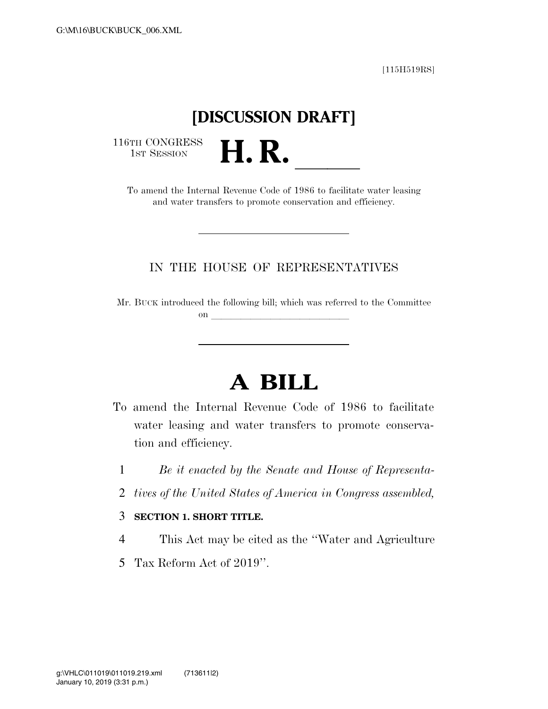[115H519RS]

## **[DISCUSSION DRAFT]**

116TH CONGRESS<br>1st Session

1st Session<br>To amend the Internal Revenue Code of 1986 to facilitate water leasing and water transfers to promote conservation and efficiency.

## IN THE HOUSE OF REPRESENTATIVES

Mr. BUCK introduced the following bill; which was referred to the Committee on  $\qquad \qquad$ 

## **A BILL**

- To amend the Internal Revenue Code of 1986 to facilitate water leasing and water transfers to promote conservation and efficiency.
	- 1 *Be it enacted by the Senate and House of Representa-*
- 2 *tives of the United States of America in Congress assembled,*

## 3 **SECTION 1. SHORT TITLE.**

- 4 This Act may be cited as the ''Water and Agriculture
- 5 Tax Reform Act of 2019''.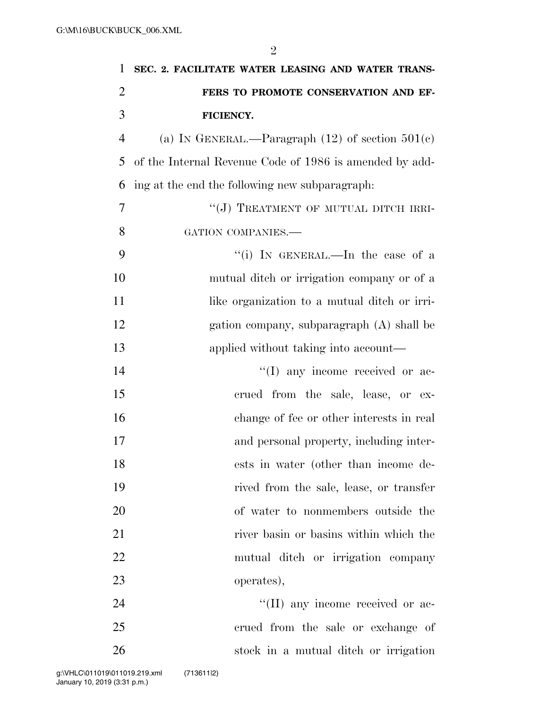| $\mathbf{1}$   | SEC. 2. FACILITATE WATER LEASING AND WATER TRANS-       |
|----------------|---------------------------------------------------------|
| $\overline{2}$ | FERS TO PROMOTE CONSERVATION AND EF-                    |
| 3              | FICIENCY.                                               |
| $\overline{4}$ | (a) IN GENERAL.—Paragraph $(12)$ of section $501(c)$    |
| 5              | of the Internal Revenue Code of 1986 is amended by add- |
| 6              | ing at the end the following new subparagraph.          |
| 7              | "(J) TREATMENT OF MUTUAL DITCH IRRI-                    |
| 8              | GATION COMPANIES.-                                      |
| 9              | "(i) IN GENERAL.—In the case of a                       |
| 10             | mutual ditch or irrigation company or of a              |
| 11             | like organization to a mutual ditch or irri-            |
| 12             | gation company, subparagraph (A) shall be               |
| 13             | applied without taking into account—                    |
| 14             | $\lq\lq$ (I) any income received or ac-                 |
| 15             | crued from the sale, lease, or ex-                      |
| 16             | change of fee or other interests in real                |
| 17             | and personal property, including inter-                 |
| 18             | ests in water (other than income de-                    |
| 19             | rived from the sale, lease, or transfer                 |
| 20             | of water to nonmembers outside the                      |
| 21             | river basin or basins within which the                  |
| 22             | mutual ditch or irrigation company                      |
| 23             | operates),                                              |
| 24             | "(II) any income received or ac-                        |
| 25             | crued from the sale or exchange of                      |
| 26             | stock in a mutual ditch or irrigation                   |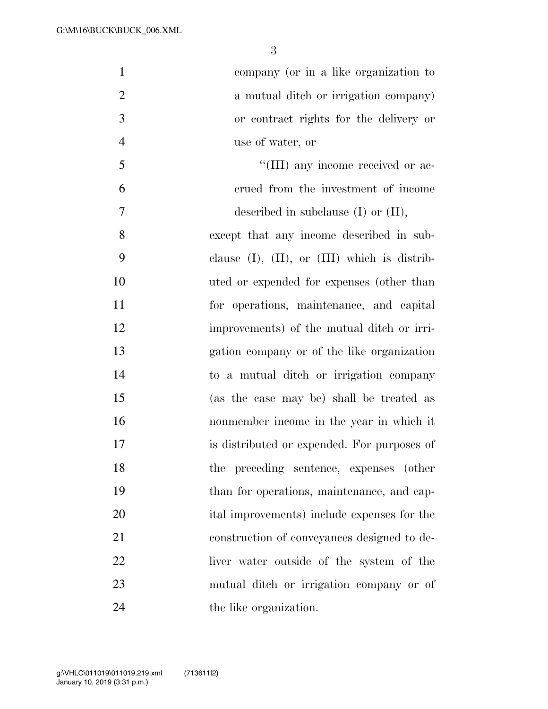| $\mathbf{1}$   | company (or in a like organization to                |
|----------------|------------------------------------------------------|
| $\overline{2}$ | a mutual ditch or irrigation company)                |
| 3              | or contract rights for the delivery or               |
| $\overline{4}$ | use of water, or                                     |
| 5              | "(III) any income received or ac-                    |
| 6              | crued from the investment of income                  |
| $\tau$         | described in subclause $(I)$ or $(II)$ ,             |
| 8              | except that any income described in sub-             |
| 9              | clause $(I)$ , $(II)$ , or $(III)$ which is distrib- |
| 10             | uted or expended for expenses (other than            |
| 11             | for operations, maintenance, and capital             |
| 12             | improvements) of the mutual ditch or irri-           |
| 13             | gation company or of the like organization           |
| 14             | to a mutual ditch or irrigation company              |
| 15             | (as the case may be) shall be treated as             |
| 16             | nonmember income in the year in which it             |
| 17             | is distributed or expended. For purposes of          |
| 18             | the preceding sentence, expenses (other              |
| 19             | than for operations, maintenance, and cap-           |
| 20             | ital improvements) include expenses for the          |
| 21             | construction of conveyances designed to de-          |
| 22             | liver water outside of the system of the             |
| 23             | mutual ditch or irrigation company or of             |
| 24             | the like organization.                               |